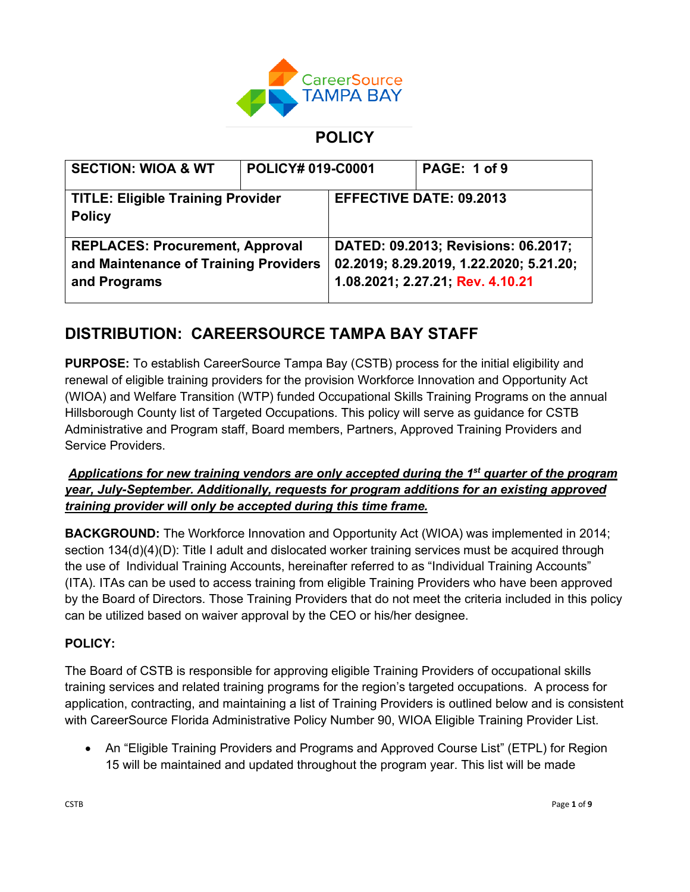

## **POLICY**

| <b>SECTION: WIOA &amp; WT</b>                                                                   | <b>POLICY# 019-C0001</b> |                                                                                                                    | PAGE: 1 of 9 |
|-------------------------------------------------------------------------------------------------|--------------------------|--------------------------------------------------------------------------------------------------------------------|--------------|
| <b>TITLE: Eligible Training Provider</b><br><b>Policy</b>                                       |                          | <b>EFFECTIVE DATE: 09.2013</b>                                                                                     |              |
| <b>REPLACES: Procurement, Approval</b><br>and Maintenance of Training Providers<br>and Programs |                          | DATED: 09.2013; Revisions: 06.2017;<br>02.2019; 8.29.2019, 1.22.2020; 5.21.20;<br>1.08.2021; 2.27.21; Rev. 4.10.21 |              |

# **DISTRIBUTION: CAREERSOURCE TAMPA BAY STAFF**

**PURPOSE:** To establish CareerSource Tampa Bay (CSTB) process for the initial eligibility and renewal of eligible training providers for the provision Workforce Innovation and Opportunity Act (WIOA) and Welfare Transition (WTP) funded Occupational Skills Training Programs on the annual Hillsborough County list of Targeted Occupations. This policy will serve as guidance for CSTB Administrative and Program staff, Board members, Partners, Approved Training Providers and Service Providers.

### *Applications for new training vendors are only accepted during the 1st quarter of the program year, July-September. Additionally, requests for program additions for an existing approved training provider will only be accepted during this time frame.*

**BACKGROUND:** The Workforce Innovation and Opportunity Act (WIOA) was implemented in 2014; section 134(d)(4)(D): Title I adult and dislocated worker training services must be acquired through the use of Individual Training Accounts, hereinafter referred to as "Individual Training Accounts" (ITA). ITAs can be used to access training from eligible Training Providers who have been approved by the Board of Directors. Those Training Providers that do not meet the criteria included in this policy can be utilized based on waiver approval by the CEO or his/her designee.

### **POLICY:**

The Board of CSTB is responsible for approving eligible Training Providers of occupational skills training services and related training programs for the region's targeted occupations. A process for application, contracting, and maintaining a list of Training Providers is outlined below and is consistent with CareerSource Florida Administrative Policy Number 90, WIOA Eligible Training Provider List.

• An "Eligible Training Providers and Programs and Approved Course List" (ETPL) for Region 15 will be maintained and updated throughout the program year. This list will be made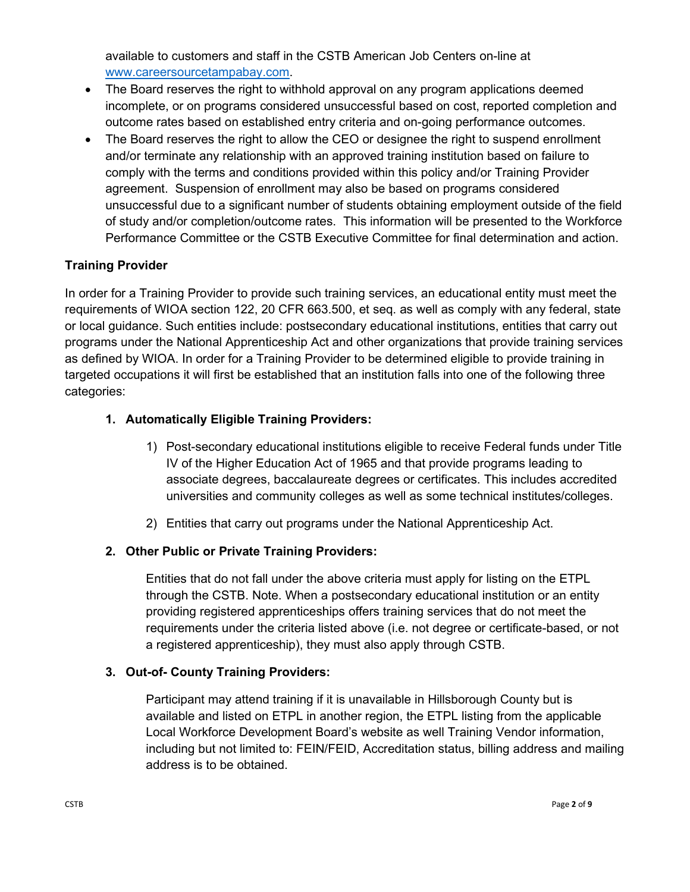available to customers and staff in the CSTB American Job Centers on-line at [www.careersourcetampabay.com.](http://www.careersourcetampabay.com/)

- The Board reserves the right to withhold approval on any program applications deemed incomplete, or on programs considered unsuccessful based on cost, reported completion and outcome rates based on established entry criteria and on-going performance outcomes.
- The Board reserves the right to allow the CEO or designee the right to suspend enrollment and/or terminate any relationship with an approved training institution based on failure to comply with the terms and conditions provided within this policy and/or Training Provider agreement. Suspension of enrollment may also be based on programs considered unsuccessful due to a significant number of students obtaining employment outside of the field of study and/or completion/outcome rates. This information will be presented to the Workforce Performance Committee or the CSTB Executive Committee for final determination and action.

### **Training Provider**

In order for a Training Provider to provide such training services, an educational entity must meet the requirements of WIOA section 122, 20 CFR 663.500, et seq. as well as comply with any federal, state or local guidance. Such entities include: postsecondary educational institutions, entities that carry out programs under the National Apprenticeship Act and other organizations that provide training services as defined by WIOA. In order for a Training Provider to be determined eligible to provide training in targeted occupations it will first be established that an institution falls into one of the following three categories:

### **1. Automatically Eligible Training Providers:**

- 1) Post-secondary educational institutions eligible to receive Federal funds under Title IV of the Higher Education Act of 1965 and that provide programs leading to associate degrees, baccalaureate degrees or certificates. This includes accredited universities and community colleges as well as some technical institutes/colleges.
- 2) Entities that carry out programs under the National Apprenticeship Act.

### **2. Other Public or Private Training Providers:**

Entities that do not fall under the above criteria must apply for listing on the ETPL through the CSTB. Note. When a postsecondary educational institution or an entity providing registered apprenticeships offers training services that do not meet the requirements under the criteria listed above (i.e. not degree or certificate-based, or not a registered apprenticeship), they must also apply through CSTB.

### **3. Out-of- County Training Providers:**

Participant may attend training if it is unavailable in Hillsborough County but is available and listed on ETPL in another region, the ETPL listing from the applicable Local Workforce Development Board's website as well Training Vendor information, including but not limited to: FEIN/FEID, Accreditation status, billing address and mailing address is to be obtained.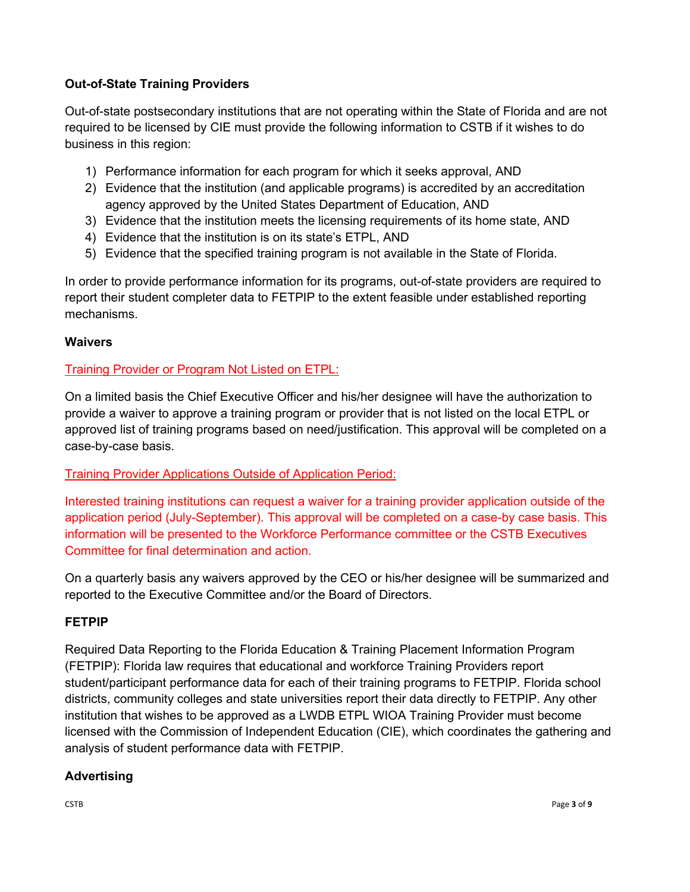### **Out-of-State Training Providers**

Out-of-state postsecondary institutions that are not operating within the State of Florida and are not required to be licensed by CIE must provide the following information to CSTB if it wishes to do business in this region:

- 1) Performance information for each program for which it seeks approval, AND
- 2) Evidence that the institution (and applicable programs) is accredited by an accreditation agency approved by the United States Department of Education, AND
- 3) Evidence that the institution meets the licensing requirements of its home state, AND
- 4) Evidence that the institution is on its state's ETPL, AND
- 5) Evidence that the specified training program is not available in the State of Florida.

In order to provide performance information for its programs, out-of-state providers are required to report their student completer data to FETPIP to the extent feasible under established reporting mechanisms.

### **Waivers**

### Training Provider or Program Not Listed on ETPL:

On a limited basis the Chief Executive Officer and his/her designee will have the authorization to provide a waiver to approve a training program or provider that is not listed on the local ETPL or approved list of training programs based on need/justification. This approval will be completed on a case-by-case basis.

### Training Provider Applications Outside of Application Period:

Interested training institutions can request a waiver for a training provider application outside of the application period (July-September). This approval will be completed on a case-by case basis. This information will be presented to the Workforce Performance committee or the CSTB Executives Committee for final determination and action.

On a quarterly basis any waivers approved by the CEO or his/her designee will be summarized and reported to the Executive Committee and/or the Board of Directors.

### **FETPIP**

Required Data Reporting to the Florida Education & Training Placement Information Program (FETPIP): Florida law requires that educational and workforce Training Providers report student/participant performance data for each of their training programs to FETPIP. Florida school districts, community colleges and state universities report their data directly to FETPIP. Any other institution that wishes to be approved as a LWDB ETPL WIOA Training Provider must become licensed with the Commission of Independent Education (CIE), which coordinates the gathering and analysis of student performance data with FETPIP.

### **Advertising**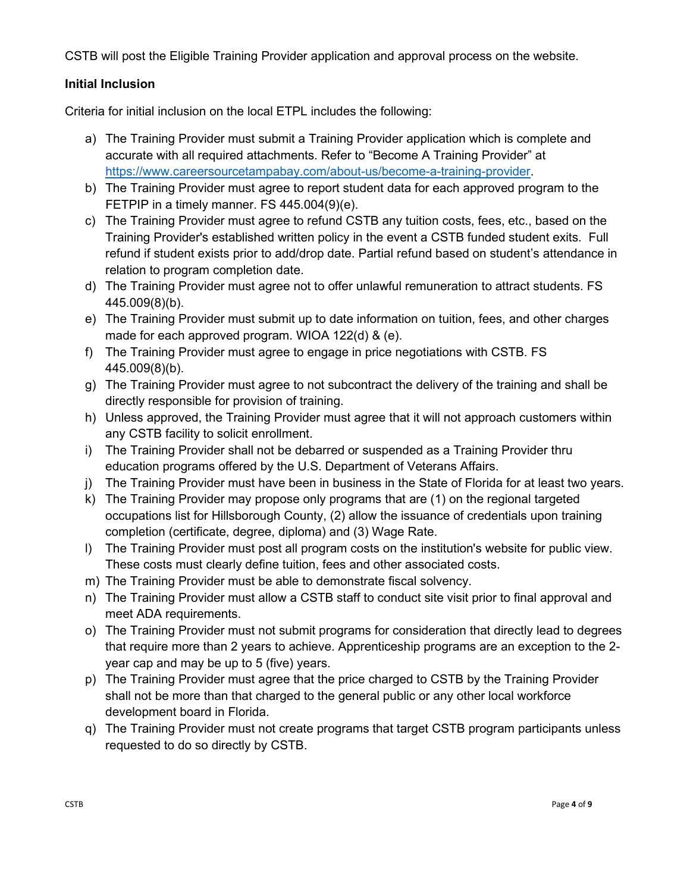CSTB will post the Eligible Training Provider application and approval process on the website.

### **Initial Inclusion**

Criteria for initial inclusion on the local ETPL includes the following:

- a) The Training Provider must submit a Training Provider application which is complete and accurate with all required attachments. Refer to "Become A Training Provider" at [https://www.careersourcetampabay.com/about-us/become-a-training-provider.](https://www.careersourcetampabay.com/about-us/become-a-training-provider)
- b) The Training Provider must agree to report student data for each approved program to the FETPIP in a timely manner. FS 445.004(9)(e).
- c) The Training Provider must agree to refund CSTB any tuition costs, fees, etc., based on the Training Provider's established written policy in the event a CSTB funded student exits. Full refund if student exists prior to add/drop date. Partial refund based on student's attendance in relation to program completion date.
- d) The Training Provider must agree not to offer unlawful remuneration to attract students. FS 445.009(8)(b).
- e) The Training Provider must submit up to date information on tuition, fees, and other charges made for each approved program. WIOA 122(d) & (e).
- f) The Training Provider must agree to engage in price negotiations with CSTB. FS 445.009(8)(b).
- g) The Training Provider must agree to not subcontract the delivery of the training and shall be directly responsible for provision of training.
- h) Unless approved, the Training Provider must agree that it will not approach customers within any CSTB facility to solicit enrollment.
- i) The Training Provider shall not be debarred or suspended as a Training Provider thru education programs offered by the U.S. Department of Veterans Affairs.
- j) The Training Provider must have been in business in the State of Florida for at least two years.
- k) The Training Provider may propose only programs that are (1) on the regional targeted occupations list for Hillsborough County, (2) allow the issuance of credentials upon training completion (certificate, degree, diploma) and (3) Wage Rate.
- l) The Training Provider must post all program costs on the institution's website for public view. These costs must clearly define tuition, fees and other associated costs.
- m) The Training Provider must be able to demonstrate fiscal solvency.
- n) The Training Provider must allow a CSTB staff to conduct site visit prior to final approval and meet ADA requirements.
- o) The Training Provider must not submit programs for consideration that directly lead to degrees that require more than 2 years to achieve. Apprenticeship programs are an exception to the 2 year cap and may be up to 5 (five) years.
- p) The Training Provider must agree that the price charged to CSTB by the Training Provider shall not be more than that charged to the general public or any other local workforce development board in Florida.
- q) The Training Provider must not create programs that target CSTB program participants unless requested to do so directly by CSTB.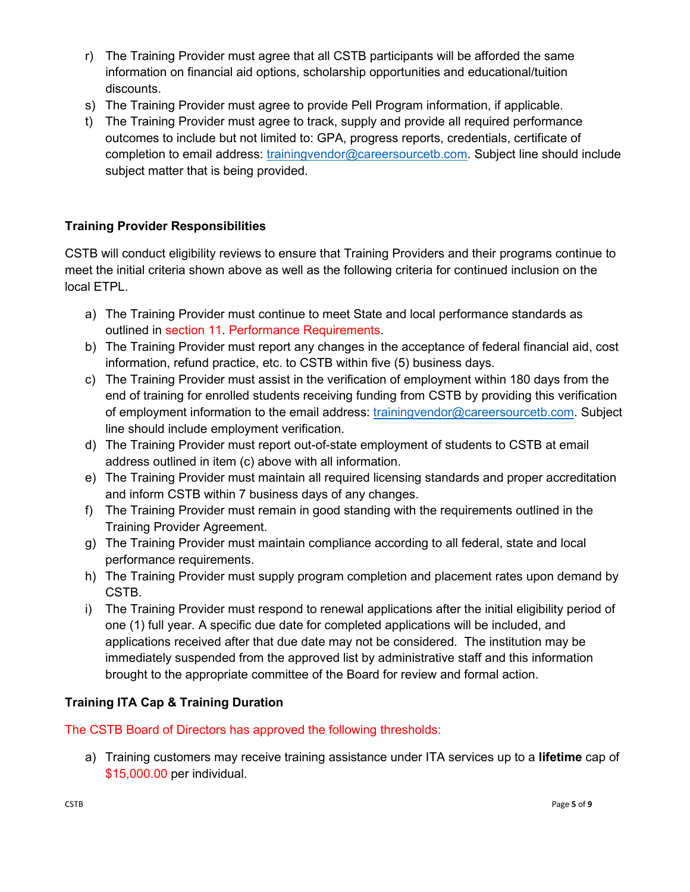- r) The Training Provider must agree that all CSTB participants will be afforded the same information on financial aid options, scholarship opportunities and educational/tuition discounts.
- s) The Training Provider must agree to provide Pell Program information, if applicable.
- t) The Training Provider must agree to track, supply and provide all required performance outcomes to include but not limited to: GPA, progress reports, credentials, certificate of completion to email address: [trainingvendor@careersourcetb.com.](mailto:trainingvendor@careersourcetb.com) Subject line should include subject matter that is being provided.

### **Training Provider Responsibilities**

CSTB will conduct eligibility reviews to ensure that Training Providers and their programs continue to meet the initial criteria shown above as well as the following criteria for continued inclusion on the local ETPL.

- a) The Training Provider must continue to meet State and local performance standards as outlined in section 11. Performance Requirements.
- b) The Training Provider must report any changes in the acceptance of federal financial aid, cost information, refund practice, etc. to CSTB within five (5) business days.
- c) The Training Provider must assist in the verification of employment within 180 days from the end of training for enrolled students receiving funding from CSTB by providing this verification of employment information to the email address: [trainingvendor@careersourcetb.com.](mailto:trainingvendor@careersourcetb.com) Subject line should include employment verification.
- d) The Training Provider must report out-of-state employment of students to CSTB at email address outlined in item (c) above with all information.
- e) The Training Provider must maintain all required licensing standards and proper accreditation and inform CSTB within 7 business days of any changes.
- f) The Training Provider must remain in good standing with the requirements outlined in the Training Provider Agreement.
- g) The Training Provider must maintain compliance according to all federal, state and local performance requirements.
- h) The Training Provider must supply program completion and placement rates upon demand by CSTB.
- i) The Training Provider must respond to renewal applications after the initial eligibility period of one (1) full year. A specific due date for completed applications will be included, and applications received after that due date may not be considered. The institution may be immediately suspended from the approved list by administrative staff and this information brought to the appropriate committee of the Board for review and formal action.

### **Training ITA Cap & Training Duration**

The CSTB Board of Directors has approved the following thresholds:

a) Training customers may receive training assistance under ITA services up to a **lifetime** cap of \$15,000.00 per individual.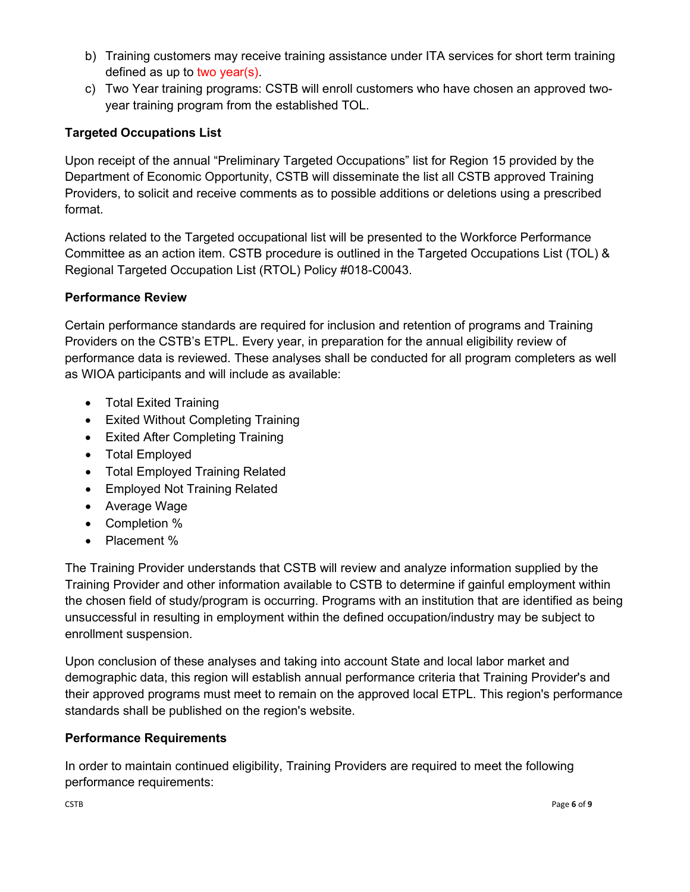- b) Training customers may receive training assistance under ITA services for short term training defined as up to two year(s).
- c) Two Year training programs: CSTB will enroll customers who have chosen an approved twoyear training program from the established TOL.

### **Targeted Occupations List**

Upon receipt of the annual "Preliminary Targeted Occupations" list for Region 15 provided by the Department of Economic Opportunity, CSTB will disseminate the list all CSTB approved Training Providers, to solicit and receive comments as to possible additions or deletions using a prescribed format.

Actions related to the Targeted occupational list will be presented to the Workforce Performance Committee as an action item. CSTB procedure is outlined in the Targeted Occupations List (TOL) & Regional Targeted Occupation List (RTOL) Policy #018-C0043.

### **Performance Review**

Certain performance standards are required for inclusion and retention of programs and Training Providers on the CSTB's ETPL. Every year, in preparation for the annual eligibility review of performance data is reviewed. These analyses shall be conducted for all program completers as well as WIOA participants and will include as available:

- Total Exited Training
- Exited Without Completing Training
- Exited After Completing Training
- Total Employed
- Total Employed Training Related
- Employed Not Training Related
- Average Wage
- Completion %
- Placement %

The Training Provider understands that CSTB will review and analyze information supplied by the Training Provider and other information available to CSTB to determine if gainful employment within the chosen field of study/program is occurring. Programs with an institution that are identified as being unsuccessful in resulting in employment within the defined occupation/industry may be subject to enrollment suspension.

Upon conclusion of these analyses and taking into account State and local labor market and demographic data, this region will establish annual performance criteria that Training Provider's and their approved programs must meet to remain on the approved local ETPL. This region's performance standards shall be published on the region's website.

### **Performance Requirements**

In order to maintain continued eligibility, Training Providers are required to meet the following performance requirements: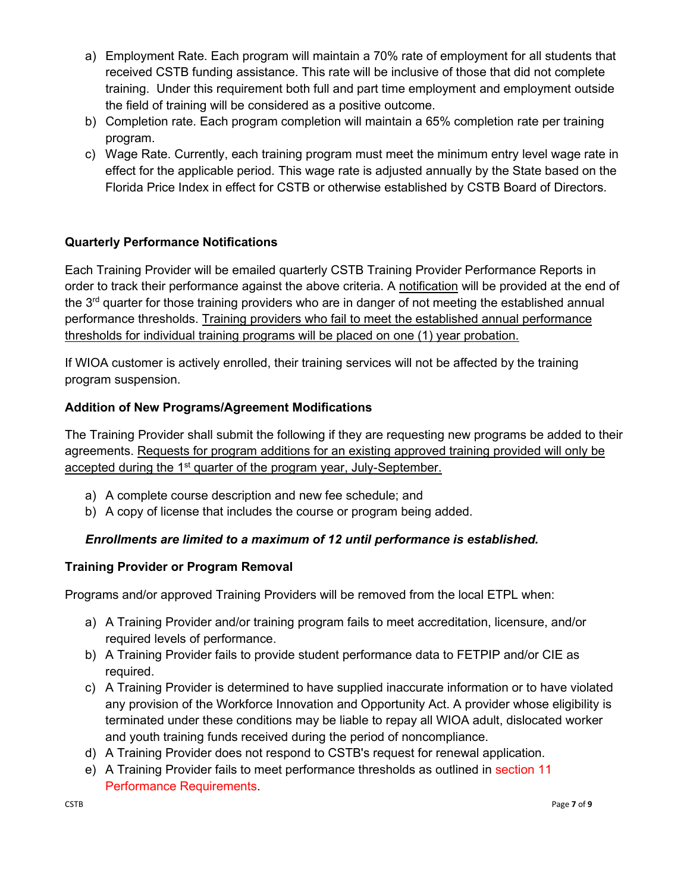- a) Employment Rate. Each program will maintain a 70% rate of employment for all students that received CSTB funding assistance. This rate will be inclusive of those that did not complete training. Under this requirement both full and part time employment and employment outside the field of training will be considered as a positive outcome.
- b) Completion rate. Each program completion will maintain a 65% completion rate per training program.
- c) Wage Rate. Currently, each training program must meet the minimum entry level wage rate in effect for the applicable period. This wage rate is adjusted annually by the State based on the Florida Price Index in effect for CSTB or otherwise established by CSTB Board of Directors.

### **Quarterly Performance Notifications**

Each Training Provider will be emailed quarterly CSTB Training Provider Performance Reports in order to track their performance against the above criteria. A notification will be provided at the end of the  $3<sup>rd</sup>$  quarter for those training providers who are in danger of not meeting the established annual performance thresholds. Training providers who fail to meet the established annual performance thresholds for individual training programs will be placed on one (1) year probation.

If WIOA customer is actively enrolled, their training services will not be affected by the training program suspension.

#### **Addition of New Programs/Agreement Modifications**

The Training Provider shall submit the following if they are requesting new programs be added to their agreements. Requests for program additions for an existing approved training provided will only be accepted during the 1<sup>st</sup> quarter of the program year, July-September.

- a) A complete course description and new fee schedule; and
- b) A copy of license that includes the course or program being added.

### *Enrollments are limited to a maximum of 12 until performance is established.*

#### **Training Provider or Program Removal**

Programs and/or approved Training Providers will be removed from the local ETPL when:

- a) A Training Provider and/or training program fails to meet accreditation, licensure, and/or required levels of performance.
- b) A Training Provider fails to provide student performance data to FETPIP and/or CIE as required.
- c) A Training Provider is determined to have supplied inaccurate information or to have violated any provision of the Workforce Innovation and Opportunity Act. A provider whose eligibility is terminated under these conditions may be liable to repay all WIOA adult, dislocated worker and youth training funds received during the period of noncompliance.
- d) A Training Provider does not respond to CSTB's request for renewal application.
- e) A Training Provider fails to meet performance thresholds as outlined in section 11 Performance Requirements.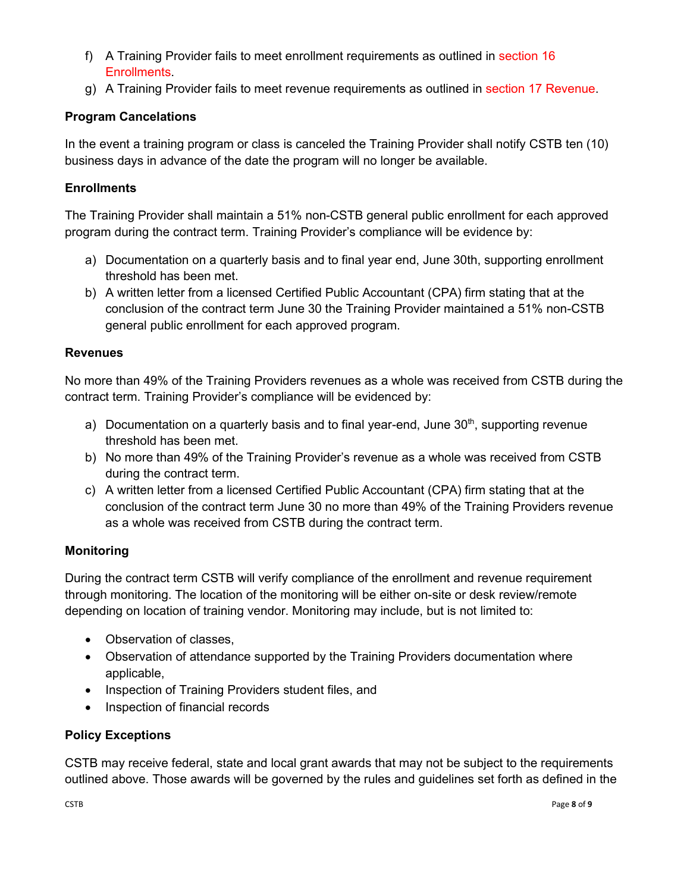- f) A Training Provider fails to meet enrollment requirements as outlined in section 16 **Enrollments**
- g) A Training Provider fails to meet revenue requirements as outlined in section 17 Revenue.

### **Program Cancelations**

In the event a training program or class is canceled the Training Provider shall notify CSTB ten (10) business days in advance of the date the program will no longer be available.

### **Enrollments**

The Training Provider shall maintain a 51% non-CSTB general public enrollment for each approved program during the contract term. Training Provider's compliance will be evidence by:

- a) Documentation on a quarterly basis and to final year end, June 30th, supporting enrollment threshold has been met.
- b) A written letter from a licensed Certified Public Accountant (CPA) firm stating that at the conclusion of the contract term June 30 the Training Provider maintained a 51% non-CSTB general public enrollment for each approved program.

### **Revenues**

No more than 49% of the Training Providers revenues as a whole was received from CSTB during the contract term. Training Provider's compliance will be evidenced by:

- a) Documentation on a quarterly basis and to final year-end, June  $30<sup>th</sup>$ , supporting revenue threshold has been met.
- b) No more than 49% of the Training Provider's revenue as a whole was received from CSTB during the contract term.
- c) A written letter from a licensed Certified Public Accountant (CPA) firm stating that at the conclusion of the contract term June 30 no more than 49% of the Training Providers revenue as a whole was received from CSTB during the contract term.

### **Monitoring**

During the contract term CSTB will verify compliance of the enrollment and revenue requirement through monitoring. The location of the monitoring will be either on-site or desk review/remote depending on location of training vendor. Monitoring may include, but is not limited to:

- Observation of classes,
- Observation of attendance supported by the Training Providers documentation where applicable,
- Inspection of Training Providers student files, and
- Inspection of financial records

### **Policy Exceptions**

CSTB may receive federal, state and local grant awards that may not be subject to the requirements outlined above. Those awards will be governed by the rules and guidelines set forth as defined in the